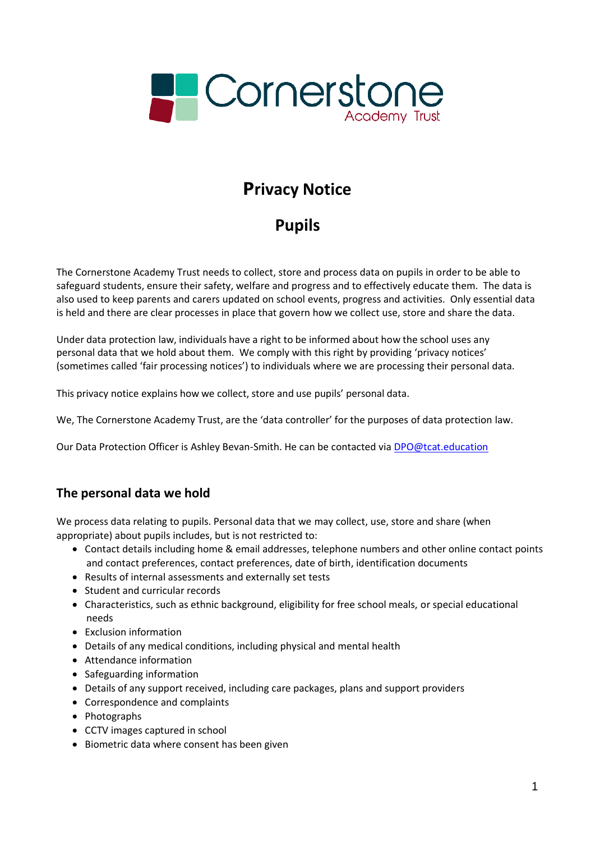

# **Privacy Notice**

# **Pupils**

The Cornerstone Academy Trust needs to collect, store and process data on pupils in order to be able to safeguard students, ensure their safety, welfare and progress and to effectively educate them. The data is also used to keep parents and carers updated on school events, progress and activities. Only essential data is held and there are clear processes in place that govern how we collect use, store and share the data.

Under data protection law, individuals have a right to be informed about how the school uses any personal data that we hold about them. We comply with this right by providing 'privacy notices' (sometimes called 'fair processing notices') to individuals where we are processing their personal data.

This privacy notice explains how we collect, store and use pupils' personal data.

We, The Cornerstone Academy Trust, are the 'data controller' for the purposes of data protection law.

Our Data Protection Officer is Ashley Bevan-Smith. He can be contacted via **DPO@tcat.education** 

# **The personal data we hold**

We process data relating to pupils. Personal data that we may collect, use, store and share (when appropriate) about pupils includes, but is not restricted to:

- Contact details including home & email addresses, telephone numbers and other online contact points and contact preferences, contact preferences, date of birth, identification documents
- Results of internal assessments and externally set tests
- Student and curricular records
- Characteristics, such as ethnic background, eligibility for free school meals, or special educational needs
- Exclusion information
- Details of any medical conditions, including physical and mental health
- Attendance information
- Safeguarding information
- Details of any support received, including care packages, plans and support providers
- Correspondence and complaints
- Photographs
- CCTV images captured in school
- Biometric data where consent has been given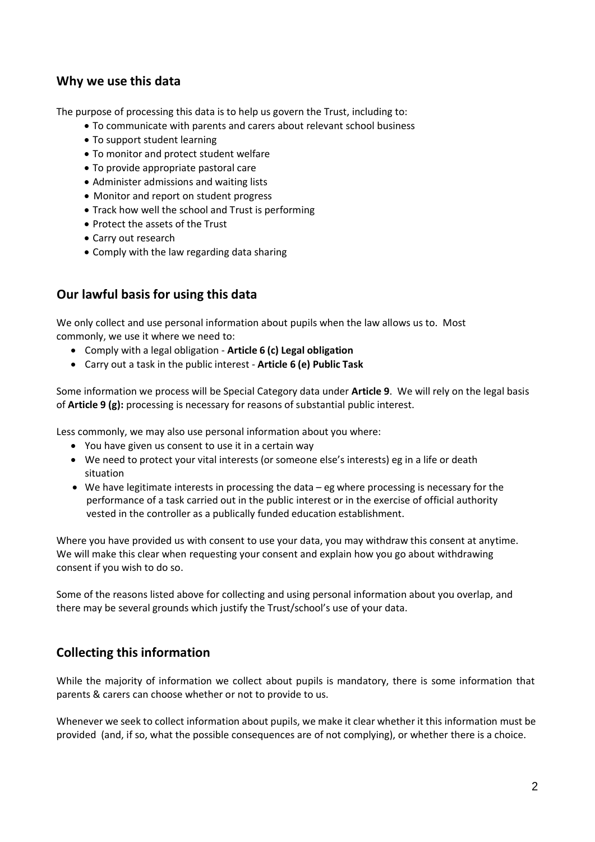## **Why we use this data**

The purpose of processing this data is to help us govern the Trust, including to:

- To communicate with parents and carers about relevant school business
- To support student learning
- To monitor and protect student welfare
- To provide appropriate pastoral care
- Administer admissions and waiting lists
- Monitor and report on student progress
- Track how well the school and Trust is performing
- Protect the assets of the Trust
- Carry out research
- Comply with the law regarding data sharing

### **Our lawful basis for using this data**

We only collect and use personal information about pupils when the law allows us to. Most commonly, we use it where we need to:

- Comply with a legal obligation **Article 6 (c) Legal obligation**
- Carry out a task in the public interest **Article 6 (e) Public Task**

Some information we process will be Special Category data under **Article 9**. We will rely on the legal basis of **Article 9 (g):** processing is necessary for reasons of substantial public interest.

Less commonly, we may also use personal information about you where:

- You have given us consent to use it in a certain way
- We need to protect your vital interests (or someone else's interests) eg in a life or death situation
- We have legitimate interests in processing the data eg where processing is necessary for the performance of a task carried out in the public interest or in the exercise of official authority vested in the controller as a publically funded education establishment.

Where you have provided us with consent to use your data, you may withdraw this consent at anytime. We will make this clear when requesting your consent and explain how you go about withdrawing consent if you wish to do so.

Some of the reasons listed above for collecting and using personal information about you overlap, and there may be several grounds which justify the Trust/school's use of your data.

# **Collecting this information**

While the majority of information we collect about pupils is mandatory, there is some information that parents & carers can choose whether or not to provide to us.

Whenever we seek to collect information about pupils, we make it clear whether it this information must be provided (and, if so, what the possible consequences are of not complying), or whether there is a choice.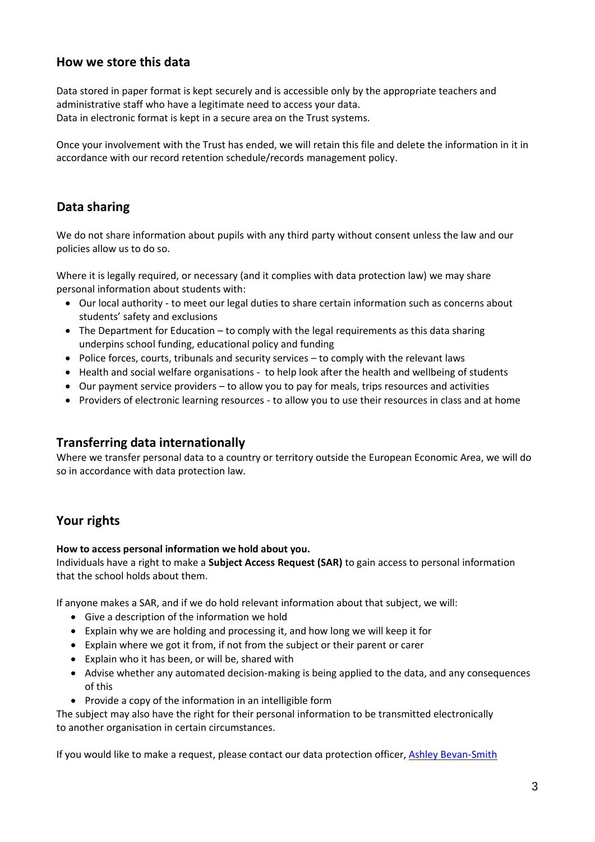### **How we store this data**

Data stored in paper format is kept securely and is accessible only by the appropriate teachers and administrative staff who have a legitimate need to access your data. Data in electronic format is kept in a secure area on the Trust systems.

Once your involvement with the Trust has ended, we will retain this file and delete the information in it in accordance with our record retention schedule/records management policy.

### **Data sharing**

We do not share information about pupils with any third party without consent unless the law and our policies allow us to do so.

Where it is legally required, or necessary (and it complies with data protection law) we may share personal information about students with:

- Our local authority to meet our legal duties to share certain information such as concerns about students' safety and exclusions
- The Department for Education to comply with the legal requirements as this data sharing underpins school funding, educational policy and funding
- Police forces, courts, tribunals and security services to comply with the relevant laws
- Health and social welfare organisations to help look after the health and wellbeing of students
- Our payment service providers to allow you to pay for meals, trips resources and activities
- Providers of electronic learning resources to allow you to use their resources in class and at home

### **Transferring data internationally**

Where we transfer personal data to a country or territory outside the European Economic Area, we will do so in accordance with data protection law.

# **Your rights**

#### **How to access personal information we hold about you.**

Individuals have a right to make a **Subject Access Request (SAR)** to gain access to personal information that the school holds about them.

If anyone makes a SAR, and if we do hold relevant information about that subject, we will:

- Give a description of the information we hold
- Explain why we are holding and processing it, and how long we will keep it for
- Explain where we got it from, if not from the subject or their parent or carer
- Explain who it has been, or will be, shared with
- Advise whether any automated decision-making is being applied to the data, and any consequences of this
- Provide a copy of the information in an intelligible form

The subject may also have the right for their personal information to be transmitted electronically to another organisation in certain circumstances.

If you would like to make a request, please contact our data protection officer, [Ashley Bevan-Smith](mailto:DPO@tcat.education)